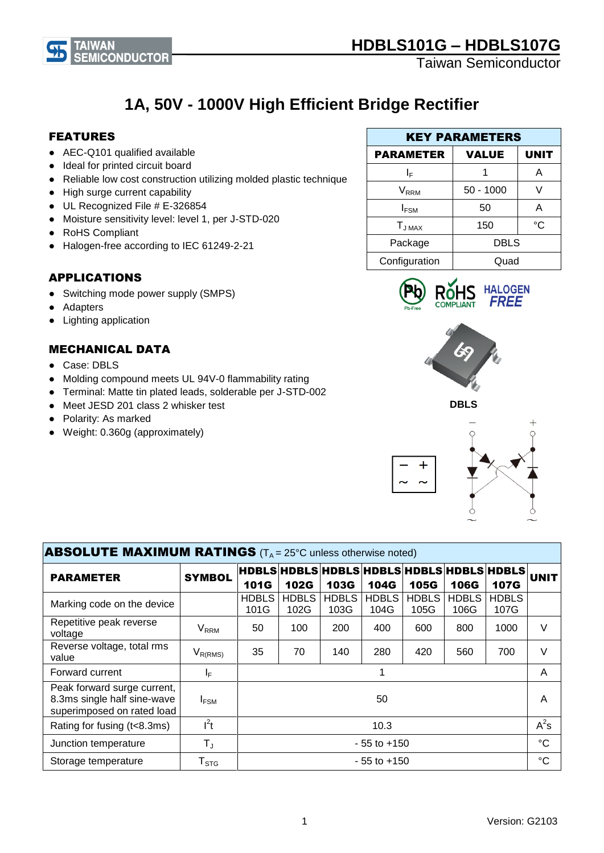

# **1A, 50V - 1000V High Efficient Bridge Rectifier**

#### FEATURES

- AEC-Q101 qualified available
- Ideal for printed circuit board
- Reliable low cost construction utilizing molded plastic technique
- High surge current capability
- UL Recognized File # E-326854
- Moisture sensitivity level: level 1, per J-STD-020
- RoHS Compliant
- Halogen-free according to IEC 61249-2-21

### APPLICATIONS

- Switching mode power supply (SMPS)
- Adapters
- Lighting application

### MECHANICAL DATA

- Case: DBLS
- Molding compound meets UL 94V-0 flammability rating
- Terminal: Matte tin plated leads, solderable per J-STD-002
- Meet JESD 201 class 2 whisker test
- Polarity: As marked
- Weight: 0.360g (approximately)

| <b>KEY PARAMETERS</b>            |             |             |  |
|----------------------------------|-------------|-------------|--|
| <b>VALUE</b><br><b>PARAMETER</b> |             | <b>UNIT</b> |  |
| ΙF                               |             | А           |  |
| <b>V</b> <sub>RRM</sub>          | $50 - 1000$ |             |  |
| $I_{FSM}$                        | 50          | А           |  |
| $T_{JMAX}$                       | 150         | °C          |  |
| Package                          | <b>DBLS</b> |             |  |
| Configuration                    | Quad        |             |  |









| <b>ABSOLUTE MAXIMUM RATINGS</b> ( $T_A = 25^\circ$ C unless otherwise noted)             |                                         |                                                           |                      |               |               |                 |                      |                      |             |
|------------------------------------------------------------------------------------------|-----------------------------------------|-----------------------------------------------------------|----------------------|---------------|---------------|-----------------|----------------------|----------------------|-------------|
| <b>PARAMETER</b>                                                                         | <b>SYMBOL</b>                           | HDBLS HDBLS HDBLS HDBLS HDBLS HDBLS HDBLS <br><b>101G</b> | <b>102G</b>          | <b>103G</b>   | 104G          | <b>105G</b>     | <b>106G</b>          | <b>107G</b>          | <b>UNIT</b> |
| Marking code on the device                                                               |                                         | <b>HDBLS</b><br>101G                                      | <b>HDBLS</b><br>102G | HDBLS<br>103G | HDBLS<br>104G | HDBLS  <br>105G | <b>HDBLS</b><br>106G | <b>HDBLS</b><br>107G |             |
| Repetitive peak reverse<br>voltage                                                       | <b>V<sub>RRM</sub></b>                  | 50                                                        | 100                  | 200           | 400           | 600             | 800                  | 1000                 | V           |
| Reverse voltage, total rms<br>value                                                      | $\mathsf{V}_{\mathsf{R}(\mathsf{RMS})}$ | 35                                                        | 70                   | 140           | 280           | 420             | 560                  | 700                  | $\vee$      |
| Forward current                                                                          | IF.                                     |                                                           |                      |               |               | A               |                      |                      |             |
| Peak forward surge current,<br>8.3ms single half sine-wave<br>superimposed on rated load | $I_{FSM}$                               | 50                                                        |                      |               |               | A               |                      |                      |             |
| Rating for fusing (t<8.3ms)                                                              | $I^2t$                                  | 10.3                                                      |                      |               | $A^2s$        |                 |                      |                      |             |
| Junction temperature                                                                     | $\mathsf{T}_\mathsf{J}$                 | $-55$ to $+150$                                           |                      |               | $^{\circ}C$   |                 |                      |                      |             |
| Storage temperature                                                                      | $\mathsf{T}_{\texttt{STG}}$             | - 55 to +150                                              |                      |               | °C            |                 |                      |                      |             |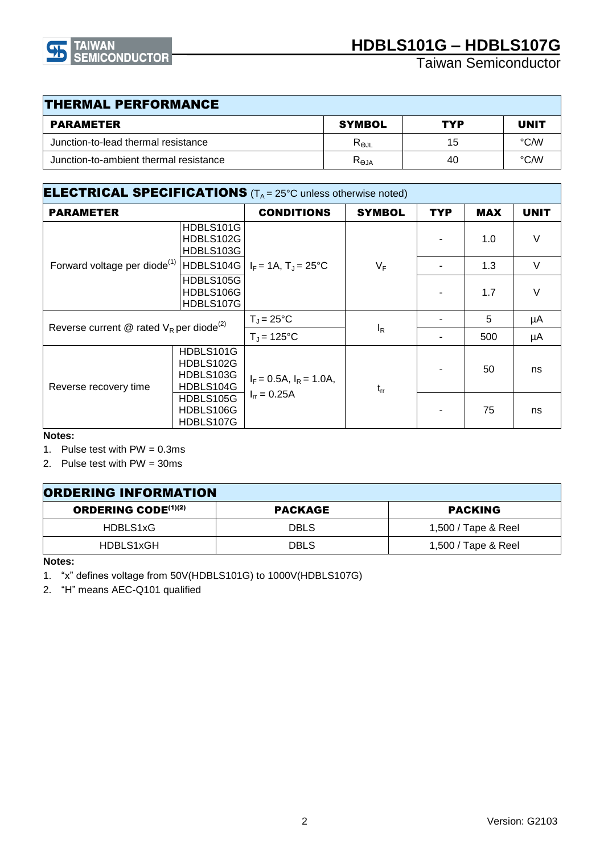

| <b>THERMAL PERFORMANCE</b>             |                 |     |             |  |
|----------------------------------------|-----------------|-----|-------------|--|
| <b>PARAMETER</b>                       | <b>SYMBOL</b>   | TYP | <b>UNIT</b> |  |
| Junction-to-lead thermal resistance    | $R_{\Theta JL}$ | 15  | °C/W        |  |
| Junction-to-ambient thermal resistance | $R_{\Theta JA}$ | 40  | °C/W        |  |

| <b>ELECTRICAL SPECIFICATIONS</b> ( $T_A = 25^\circ$ C unless otherwise noted) |                                                  |                                                   |               |     |            |             |
|-------------------------------------------------------------------------------|--------------------------------------------------|---------------------------------------------------|---------------|-----|------------|-------------|
| <b>PARAMETER</b>                                                              |                                                  | <b>CONDITIONS</b>                                 | <b>SYMBOL</b> | TYP | <b>MAX</b> | <b>UNIT</b> |
|                                                                               | HDBLS101G<br>HDBLS102G<br>HDBLS103G              |                                                   |               |     | 1.0        | $\vee$      |
| Forward voltage per diode <sup>(1)</sup>                                      | HDBLS104G                                        | $I_F = 1A$ , $T_J = 25^{\circ}C$                  | $V_F$         |     | 1.3        | $\vee$      |
|                                                                               | HDBLS105G<br>HDBLS106G<br>HDBLS107G              |                                                   |               |     | 1.7        | $\vee$      |
| Reverse current @ rated $V_R$ per diode <sup>(2)</sup>                        |                                                  | $T_{\rm J}$ = 25°C                                |               |     | 5          | μA          |
|                                                                               |                                                  | $T_{\rm J}$ = 125°C                               | $I_R$         |     | 500        | μA          |
| Reverse recovery time                                                         | HDBLS101G<br>HDBLS102G<br>HDBLS103G<br>HDBLS104G | $I_F = 0.5A$ , $I_R = 1.0A$ ,<br>$I_{rr} = 0.25A$ | $t_{rr}$      |     | 50         | ns          |
|                                                                               | HDBLS105G<br>HDBLS106G<br>HDBLS107G              |                                                   |               |     | 75         | ns          |

**Notes:**

- 1. Pulse test with  $PW = 0.3$ ms
- 2. Pulse test with PW = 30ms

| <b>ORDERING INFORMATION</b> |                |                     |  |  |
|-----------------------------|----------------|---------------------|--|--|
| <b>ORDERING CODE</b> (1)(2) | <b>PACKAGE</b> | <b>PACKING</b>      |  |  |
| HDBLS1xG                    | <b>DBLS</b>    | 1,500 / Tape & Reel |  |  |
| HDBLS1xGH                   | <b>DBLS</b>    | 1,500 / Tape & Reel |  |  |

**Notes:**

1. "x" defines voltage from 50V(HDBLS101G) to 1000V(HDBLS107G)

2. "H" means AEC-Q101 qualified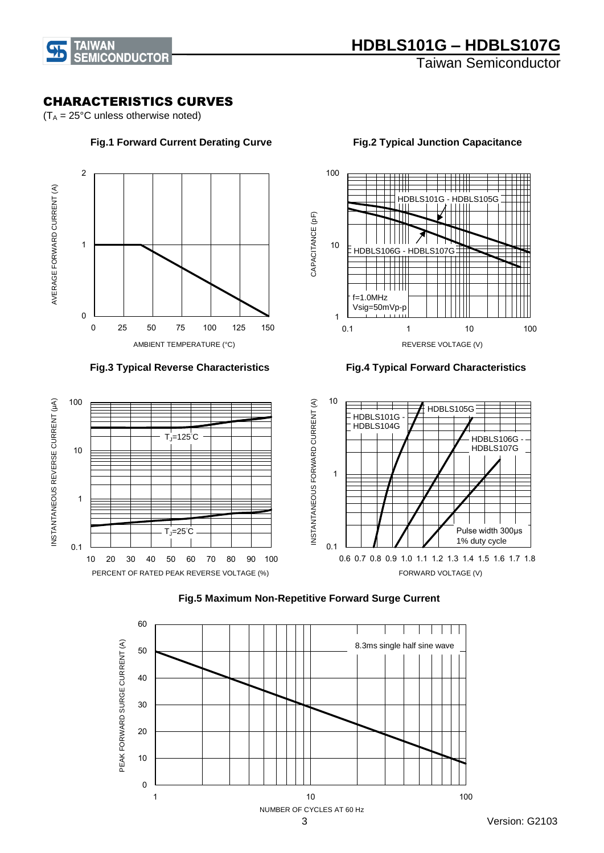

#### CHARACTERISTICS CURVES

 $(T_A = 25^{\circ}C$  unless otherwise noted)



#### **Fig.3 Typical Reverse Characteristics Fig.4 Typical Forward Characteristics**



1

f=1.0MHz Vsig=50mVp-p

HDBLS106G - HDBLS107

10

CAPACITANCE (pF)

CAPACITANCE (pF)

100



### **Fig.5 Maximum Non-Repetitive Forward Surge Current**

 **Fig.1 Forward Current Derating Curve Fig.2 Typical Junction Capacitance**

HDBLS101G - HDBLS105G

0.1 1 10 100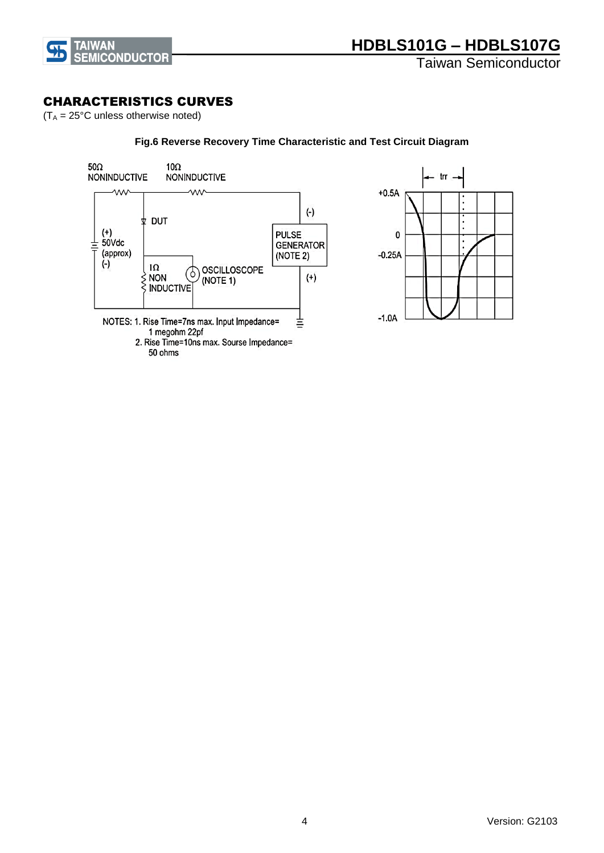

#### CHARACTERISTICS CURVES

 $(T_A = 25^{\circ}C$  unless otherwise noted)

#### $50\Omega$ 10 $\Omega$ - trr — NONINDUCTIVE **NONINDUCTIVE** W **WV**  $+0.5A$  $(-)$ **⊉ DUT**  $\cdot$ (+)<br>50Vdc **PULSE** 0 **GENERATOR** (approx) (NOTE 2)  $-0.25A$  $(-)$  $1\Omega$ **OSCILLOSCOPE** (ბ S NON<br>S INDUCTIVE  $(+)$ (NOTE 1)  $-1.0A$ NOTES: 1. Rise Time=7ns max. Input Impedance= 言 1 megohm 22pf 2. Rise Time=10ns max. Sourse Impedance= 50 ohms

#### **Fig.6 Reverse Recovery Time Characteristic and Test Circuit Diagram**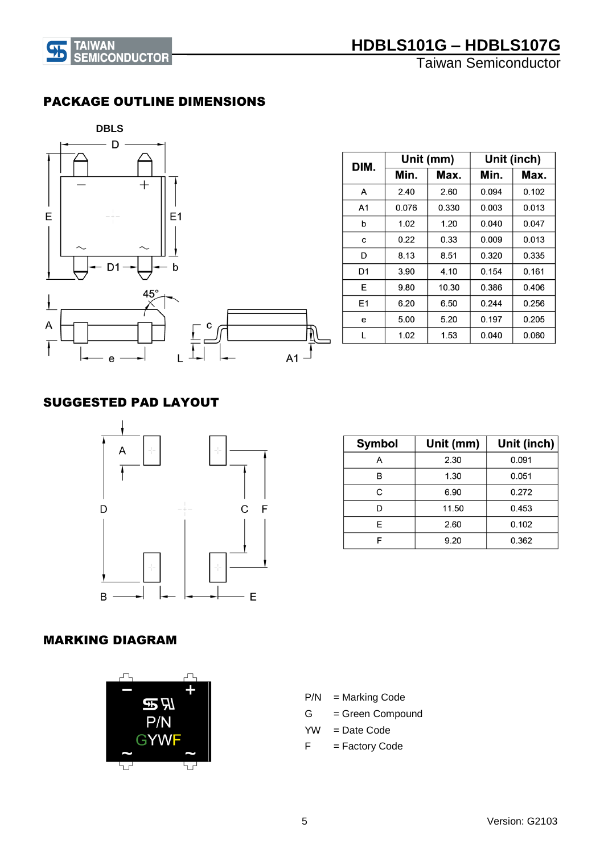

# **HDBLS101G – HDBLS107G**

Taiwan Semiconductor

### PACKAGE OUTLINE DIMENSIONS



| DIM.           |       | Unit (mm) | Unit (inch) |       |  |
|----------------|-------|-----------|-------------|-------|--|
|                | Min.  | Max.      | Min.        | Max.  |  |
| А              | 2.40  | 2.60      | 0.094       | 0.102 |  |
| A1             | 0.076 | 0.330     | 0.003       | 0.013 |  |
| b              | 1.02  | 1.20      | 0.040       | 0.047 |  |
| С              | 0.22  | 0.33      | 0.009       | 0.013 |  |
| D              | 8.13  | 8.51      | 0.320       | 0.335 |  |
| D1             | 3.90  | 4.10      | 0.154       | 0.161 |  |
| E              | 9.80  | 10.30     | 0.386       | 0.406 |  |
| E <sub>1</sub> | 6.20  | 6.50      | 0.244       | 0.256 |  |
| е              | 5.00  | 5.20      | 0.197       | 0.205 |  |
| L              | 1.02  | 1.53      | 0.040       | 0.060 |  |

### SUGGESTED PAD LAYOUT



| <b>Symbol</b> | Unit (mm) | Unit (inch) |
|---------------|-----------|-------------|
| А             | 2.30      | 0.091       |
| в             | 1.30      | 0.051       |
| C             | 6.90      | 0.272       |
|               | 11.50     | 0.453       |
| E             | 2.60      | 0.102       |
|               | 9.20      | 0.362       |

## MARKING DIAGRAM



- P/N = Marking Code
- G = Green Compound
- $YW = Date Code$
- F = Factory Code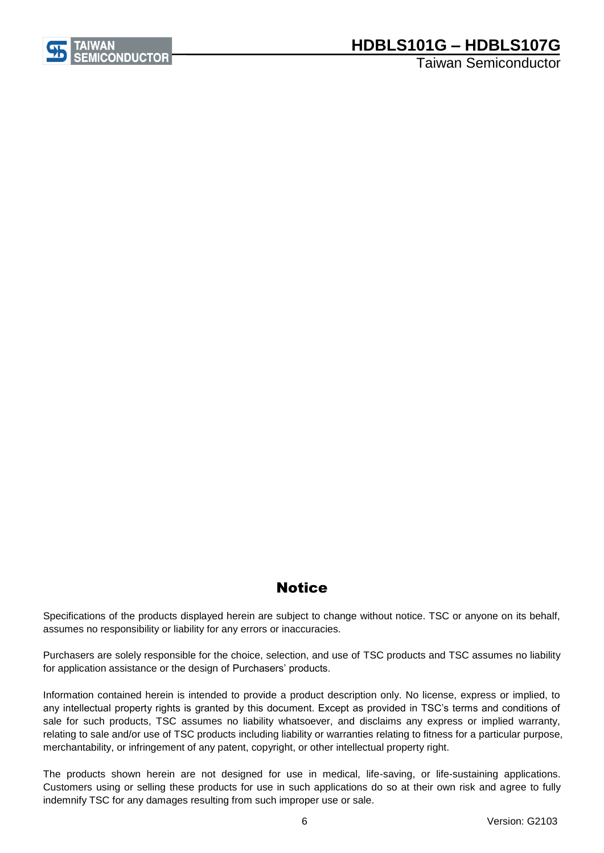

# **HDBLS101G – HDBLS107G**

Taiwan Semiconductor

# **Notice**

Specifications of the products displayed herein are subject to change without notice. TSC or anyone on its behalf, assumes no responsibility or liability for any errors or inaccuracies.

Purchasers are solely responsible for the choice, selection, and use of TSC products and TSC assumes no liability for application assistance or the design of Purchasers' products.

Information contained herein is intended to provide a product description only. No license, express or implied, to any intellectual property rights is granted by this document. Except as provided in TSC's terms and conditions of sale for such products, TSC assumes no liability whatsoever, and disclaims any express or implied warranty, relating to sale and/or use of TSC products including liability or warranties relating to fitness for a particular purpose, merchantability, or infringement of any patent, copyright, or other intellectual property right.

The products shown herein are not designed for use in medical, life-saving, or life-sustaining applications. Customers using or selling these products for use in such applications do so at their own risk and agree to fully indemnify TSC for any damages resulting from such improper use or sale.